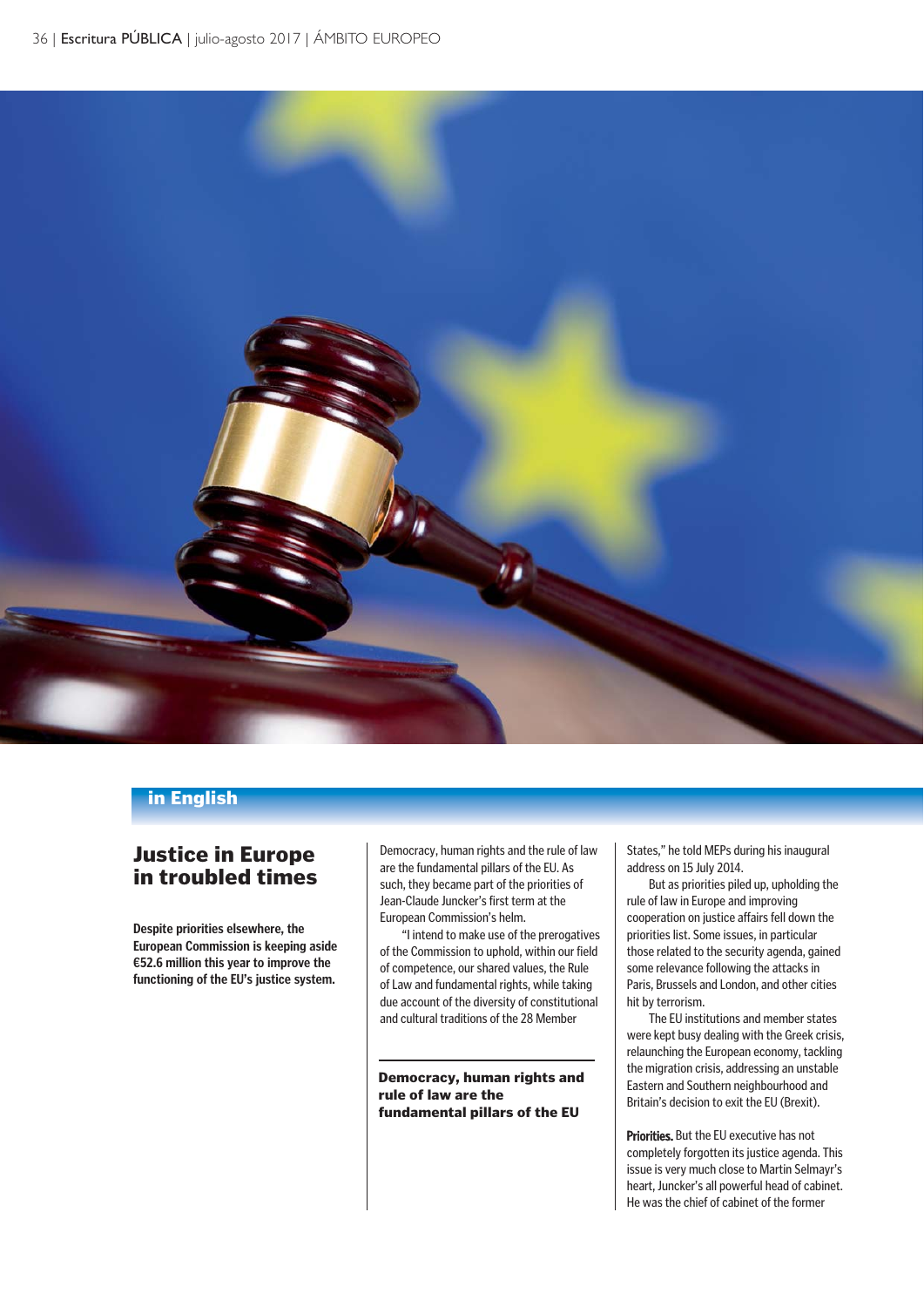

#### in English

# Justice in Europe in troubled times

**Despite priorities elsewhere, the European Commission is keeping aside €52.6 million this year to improve the functioning of the EU's justice system.**

Democracy, human rights and the rule of law are the fundamental pillars of the EU. As such, they became part of the priorities of Jean-Claude Juncker's first term at the European Commission's helm.

"I intend to make use of the prerogatives of the Commission to uphold, within our field of competence, our shared values, the Rule of Law and fundamental rights, while taking due account of the diversity of constitutional and cultural traditions of the 28 Member

Democracy, human rights and rule of law are the fundamental pillars of the EU

States," he told MEPs during his inaugural address on 15 July 2014.

But as priorities piled up, upholding the rule of law in Europe and improving cooperation on justice affairs fell down the priorities list. Some issues, in particular those related to the security agenda, gained some relevance following the attacks in Paris, Brussels and London, and other cities hit by terrorism.

The EU institutions and member states were kept busy dealing with the Greek crisis, relaunching the European economy, tackling the migration crisis, addressing an unstable Eastern and Southern neighbourhood and Britain's decision to exit the EU (Brexit).

Priorities. But the EU executive has not completely forgotten its justice agenda. This issue is very much close to Martin Selmayr's heart, Juncker's all powerful head of cabinet. He was the chief of cabinet of the former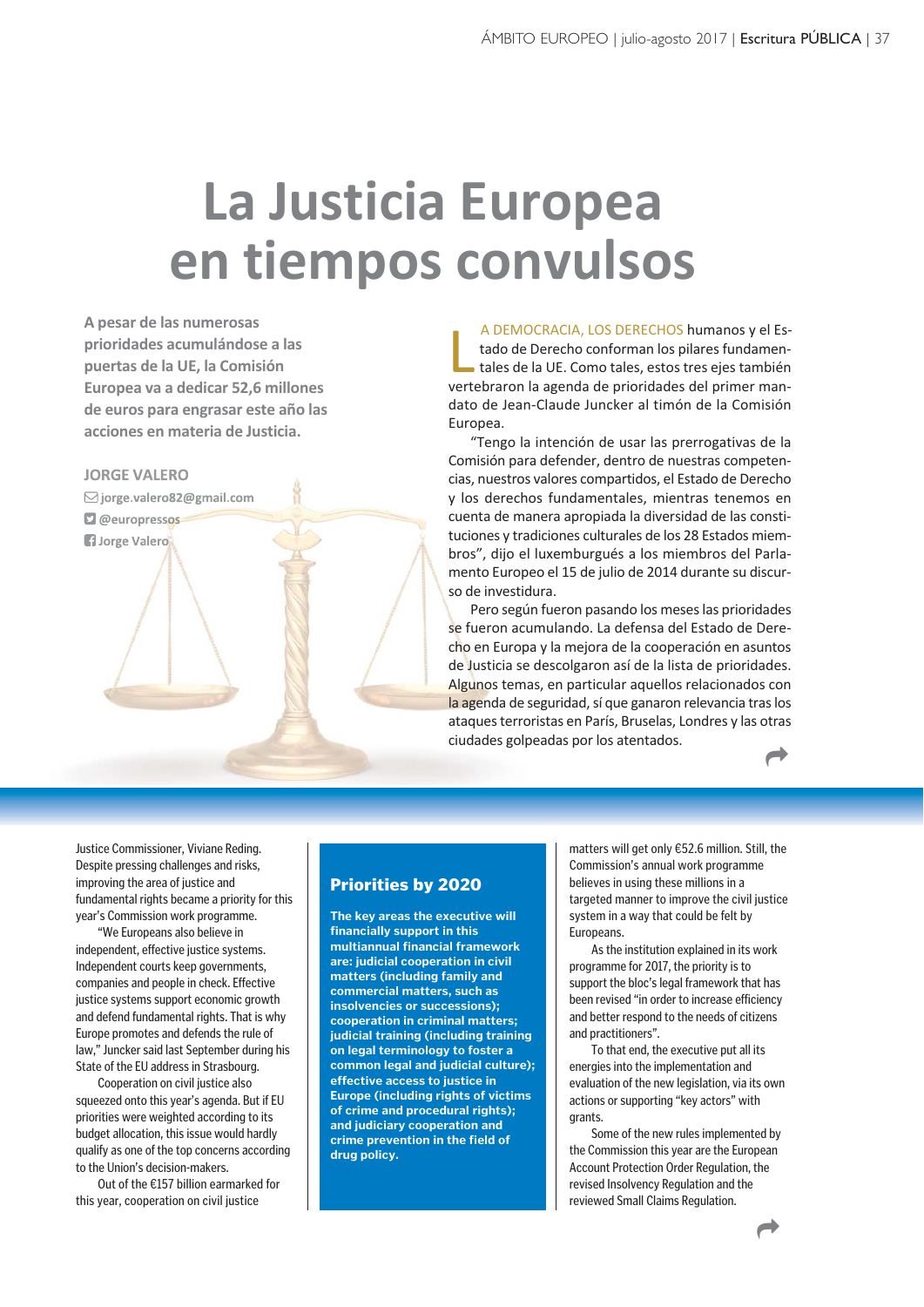# **La Justicia Europea en tiempos convulsos**

**A pesar de las numerosas prioridades acumulándose a las puertas de la UE, la Comisión Europea va a dedicar 52,6 millones de euros para engrasar este año las acciones en materia de Justicia.**

#### **JORGE VALERO**

**jorge.valero82@gmail.com** 

**@europressos** 

**H**Jorge Valero

A DEMOCRACIA, LOS DERECHOS humanos y el Estado de Derecho conforman los pilares fundamentales de la UE. Como tales, estos tres ejes también vertebraron la agenda de prioridades del primer man-A DEMOCRACIA, LOS DERECHOS humanos y el Estado de Derecho conforman los pilares fundamentales de la UE. Como tales, estos tres ejes también dato de Jean-Claude Juncker al timón de la Comisión Europea.

"Tengo la intención de usar las prerrogativas de la Comisión para defender, dentro de nuestras competencias, nuestros valores compartidos, el Estado de Derecho y los derechos fundamentales, mientras tenemos en cuenta de manera apropiada la diversidad de las constituciones y tradiciones culturales de los 28 Estados miembros", dijo el luxemburgués a los miembros del Parlamento Europeo el 15 de julio de 2014 durante su discurso de investidura.

Pero según fueron pasando los meses las prioridades se fueron acumulando. La defensa del Estado de Derecho en Europa y la mejora de la cooperación en asuntos de Justicia se descolgaron así de la lista de prioridades. Algunos temas, en particular aquellos relacionados con la agenda de seguridad, sí que ganaron relevancia tras los ataques terroristas en París, Bruselas, Londres y las otras ciudades golpeadas por los atentados.

 $\overrightarrow{ }$ 

Justice Commissioner, Viviane Reding. Despite pressing challenges and risks, improving the area of justice and fundamental rights became a priority for this year's Commission work programme.

"We Europeans also believe in independent, effective justice systems. Independent courts keep governments, companies and people in check. Effective justice systems support economic growth and defend fundamental rights. That is why Europe promotes and defends the rule of law," Juncker said last September during his State of the EU address in Strasbourg.

Cooperation on civil justice also squeezed onto this year's agenda. But if EU priorities were weighted according to its budget allocation, this issue would hardly qualify as one of the top concerns according to the Union's decision-makers.

Out of the €157 billion earmarked for this year, cooperation on civil justice

#### Priorities by 2020

**The key areas the executive will financially support in this multiannual financial framework are: judicial cooperation in civil matters (including family and commercial matters, such as insolvencies or successions); cooperation in criminal matters; judicial training (including training on legal terminology to foster a common legal and judicial culture); effective access to justice in Europe (including rights of victims of crime and procedural rights); and judiciary cooperation and crime prevention in the field of drug policy.**

matters will get only €52.6 million. Still, the Commission's annual work programme believes in using these millions in a targeted manner to improve the civil justice system in a way that could be felt by **Europeans** 

As the institution explained in its work programme for 2017, the priority is to support the bloc's legal framework that has been revised "in order to increase efficiency and better respond to the needs of citizens and practitioners".

To that end, the executive put all its energies into the implementation and evaluation of the new legislation, via its own actions or supporting "key actors" with **grants** 

Some of the new rules implemented by the Commission this year are the European Account Protection Order Regulation, the revised Insolvency Regulation and the reviewed Small Claims Regulation.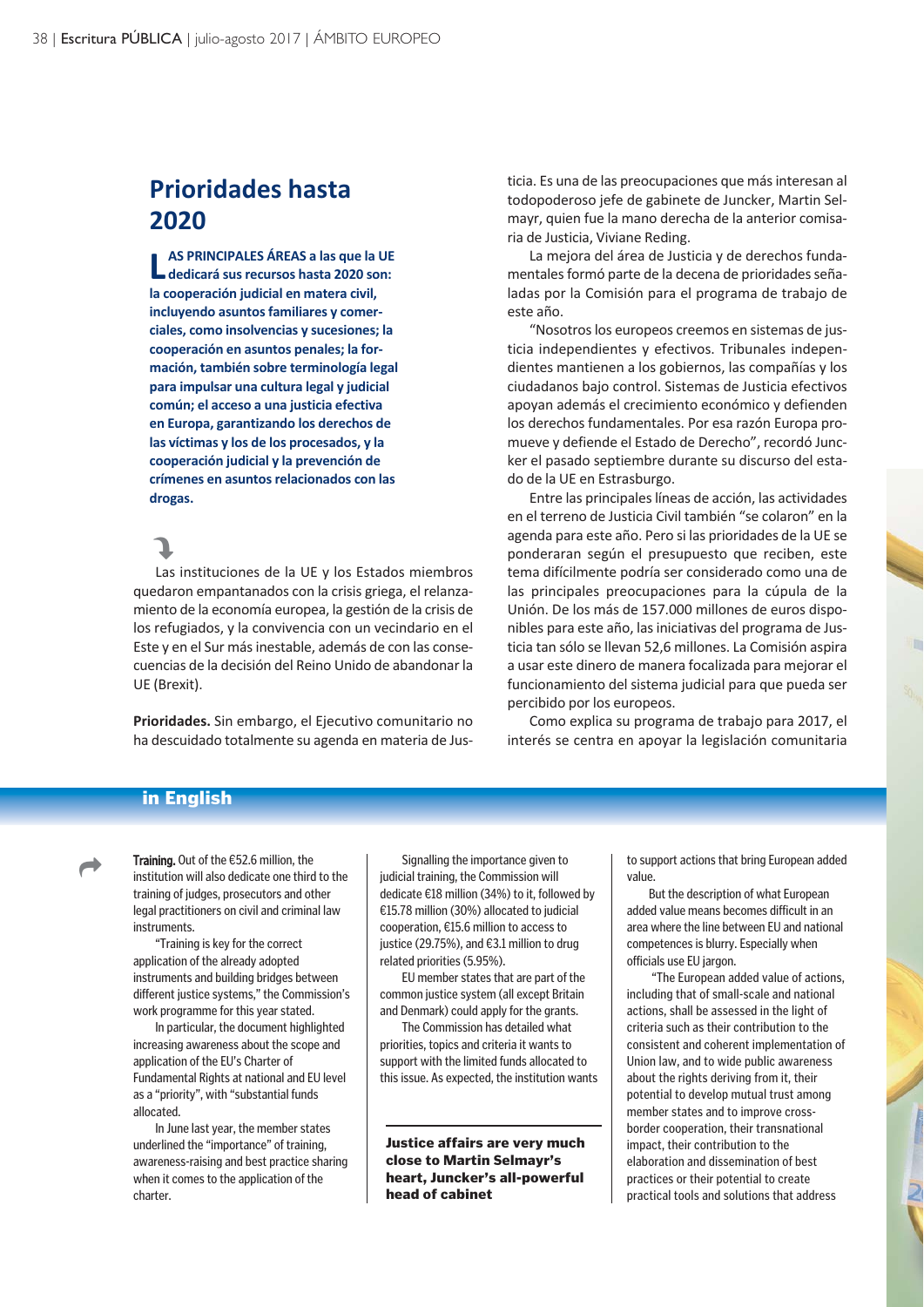# **Prioridades hasta 2020**

**L dedicará sus recursos hasta 2020 son: AS PRINCIPALES ÁREAS a las que la UE la cooperación judicial en matera civil, incluyendo asuntos familiares y comerciales, como insolvencias y sucesiones; la cooperación en asuntos penales; la formación, también sobre terminología legal para impulsar una cultura legal y judicial común; el acceso a una justicia efectiva en Europa, garantizando los derechos de las víctimas y los de los procesados, y la cooperación judicial y la prevención de crímenes en asuntos relacionados con las drogas.**

# J

Las instituciones de la UE y los Estados miembros quedaron empantanados con la crisis griega, el relanzamiento de la economía europea, la gestión de la crisis de los refugiados, y la convivencia con un vecindario en el Este y en el Sur más inestable, además de con las consecuencias de la decisión del Reino Unido de abandonar la UE (Brexit).

**Prioridades.** Sin embargo, el Ejecutivo comunitario no ha descuidado totalmente su agenda en materia de Justicia. Es una de las preocupaciones que más interesan al todopoderoso jefe de gabinete de Juncker, Martin Selmayr, quien fue la mano derecha de la anterior comisaria de Justicia, Viviane Reding.

La mejora del área de Justicia y de derechos fundamentales formó parte de la decena de prioridades señaladas por la Comisión para el programa de trabajo de este año.

"Nosotros los europeos creemos en sistemas de justicia independientes y efectivos. Tribunales independientes mantienen a los gobiernos, las compañías y los ciudadanos bajo control. Sistemas de Justicia efectivos apoyan además el crecimiento económico y defienden los derechos fundamentales. Por esa razón Europa promueve y defiende el Estado de Derecho", recordó Juncker el pasado septiembre durante su discurso del estado de la UE en Estrasburgo.

Entre las principales líneas de acción, las actividades en el terreno de Justicia Civil también "se colaron" en la agenda para este año. Pero si las prioridades de la UE se ponderaran según el presupuesto que reciben, este tema difícilmente podría ser considerado como una de las principales preocupaciones para la cúpula de la Unión. De los más de 157.000 millones de euros disponibles para este año, las iniciativas del programa de Justicia tan sólo se llevan 52,6 millones. La Comisión aspira a usar este dinero de manera focalizada para mejorar el funcionamiento del sistema judicial para que pueda ser percibido por los europeos.

Como explica su programa de trabajo para 2017, el interés se centra en apoyar la legislación comunitaria

### in English



Training. Out of the €52.6 million, the institution will also dedicate one third to the training of judges, prosecutors and other legal practitioners on civil and criminal law instruments.

"Training is key for the correct application of the already adopted instruments and building bridges between different justice systems," the Commission's work programme for this year stated.

In particular, the document highlighted increasing awareness about the scope and application of the EU's Charter of Fundamental Rights at national and EU level as a "priority", with "substantial funds allocated.

In June last year, the member states underlined the "importance" of training, awareness-raising and best practice sharing when it comes to the application of the charter.

Signalling the importance given to judicial training, the Commission will dedicate €18 million (34%) to it, followed by €15.78 million (30%) allocated to judicial cooperation, €15.6 million to access to justice (29.75%), and €3.1 million to drug related priorities (5.95%).

EU member states that are part of the common justice system (all except Britain and Denmark) could apply for the grants.

The Commission has detailed what priorities, topics and criteria it wants to support with the limited funds allocated to this issue. As expected, the institution wants

Justice affairs are very much close to Martin Selmayr's heart, Juncker's all-powerful head of cabinet

to support actions that bring European added value.

But the description of what European added value means becomes difficult in an area where the line between EU and national competences is blurry. Especially when officials use EU jargon.

"The European added value of actions, including that of small-scale and national actions, shall be assessed in the light of criteria such as their contribution to the consistent and coherent implementation of Union law, and to wide public awareness about the rights deriving from it, their potential to develop mutual trust among member states and to improve crossborder cooperation, their transnational impact, their contribution to the elaboration and dissemination of best practices or their potential to create practical tools and solutions that address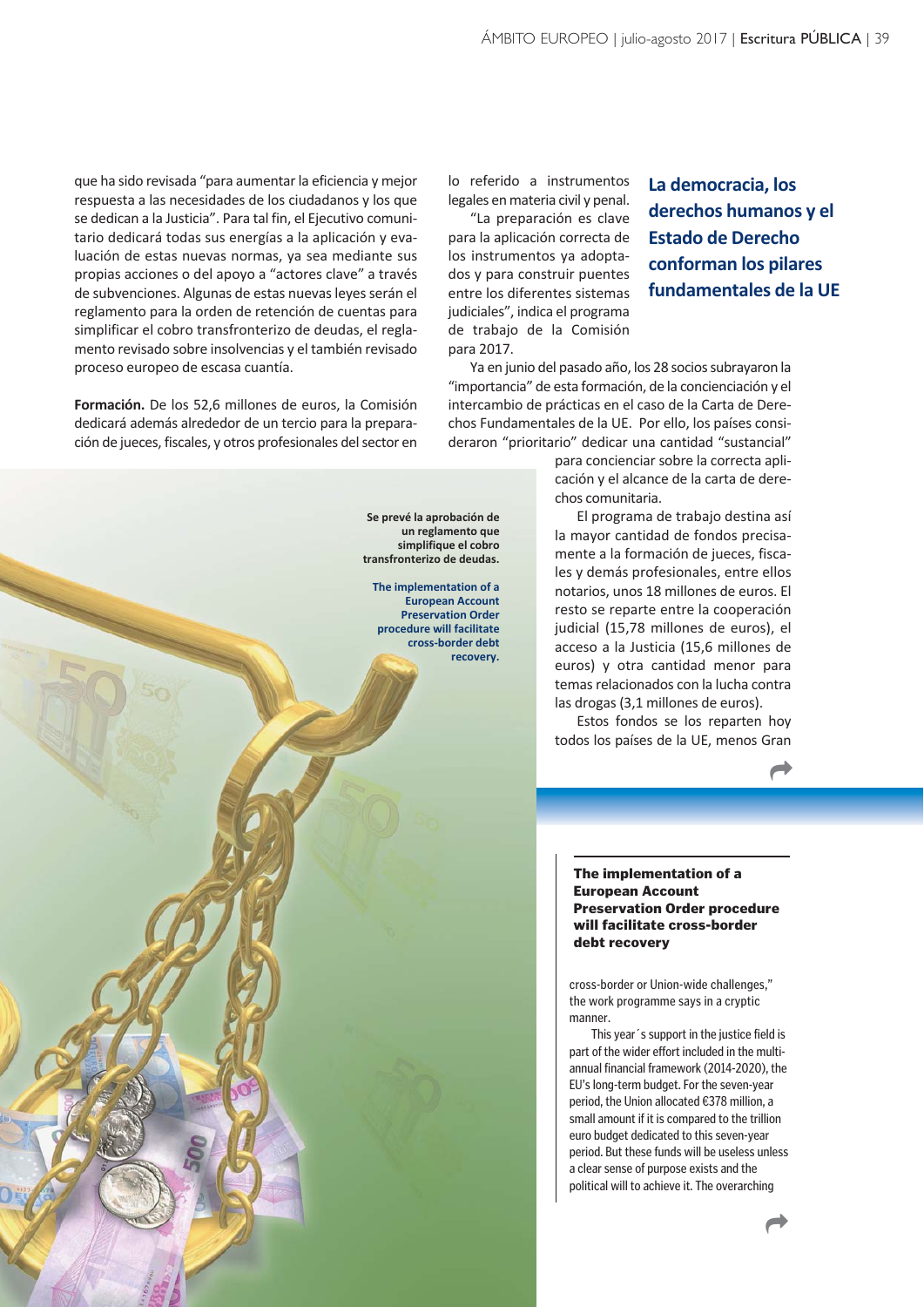que ha sido revisada "para aumentar la eficiencia y mejor respuesta a las necesidades de los ciudadanos y los que se dedican a la Justicia". Para tal fin, el Ejecutivo comunitario dedicará todas sus energías a la aplicación y evaluación de estas nuevas normas, ya sea mediante sus propias acciones o del apoyo a "actores clave" a través de subvenciones. Algunas de estas nuevas leyes serán el reglamento para la orden de retención de cuentas para simplificar el cobro transfronterizo de deudas, el reglamento revisado sobre insolvencias y el también revisado proceso europeo de escasa cuantía.

**Formación.** De los 52,6 millones de euros, la Comisión dedicará además alrededor de un tercio para la preparación de jueces, fiscales, y otros profesionales del sector en lo referido a instrumentos legales en materia civil y penal.

"La preparación es clave para la aplicación correcta de los instrumentos ya adoptados y para construir puentes entre los diferentes sistemas judiciales", indica el programa de trabajo de la Comisión para 2017.

**Se prevé la aprobación de un reglamento que simplifique el cobro transfronterizo de deudas. The implementation of a European Account Preservation Order procedure will facilitate cross-border debt recovery.**

# **La democracia, los derechos humanos y el Estado de Derecho conforman los pilares fundamentales de la UE**

Ya en junio del pasado año, los 28 socios subrayaron la "importancia" de esta formación, de la concienciación y el intercambio de prácticas en el caso de la Carta de Derechos Fundamentales de la UE. Por ello, los países consideraron "prioritario" dedicar una cantidad "sustancial"

> para concienciar sobre la correcta aplicación y el alcance de la carta de derechos comunitaria.

> El programa de trabajo destina así la mayor cantidad de fondos precisamente a la formación de jueces, fiscales y demás profesionales, entre ellos notarios, unos 18 millones de euros. El resto se reparte entre la cooperación judicial (15,78 millones de euros), el acceso a la Justicia (15,6 millones de euros) y otra cantidad menor para temas relacionados con la lucha contra las drogas (3,1 millones de euros).

> Estos fondos se los reparten hoy todos los países de la UE, menos Gran

> > $\overrightarrow{ }$

The implementation of a European Account Preservation Order procedure will facilitate cross-border debt recovery

cross-border or Union-wide challenges," the work programme says in a cryptic manner.

This year´s support in the justice field is part of the wider effort included in the multiannual financial framework (2014-2020), the EU's long-term budget. For the seven-year period, the Union allocated €378 million, a small amount if it is compared to the trillion euro budget dedicated to this seven-year period. But these funds will be useless unless a clear sense of purpose exists and the political will to achieve it. The overarching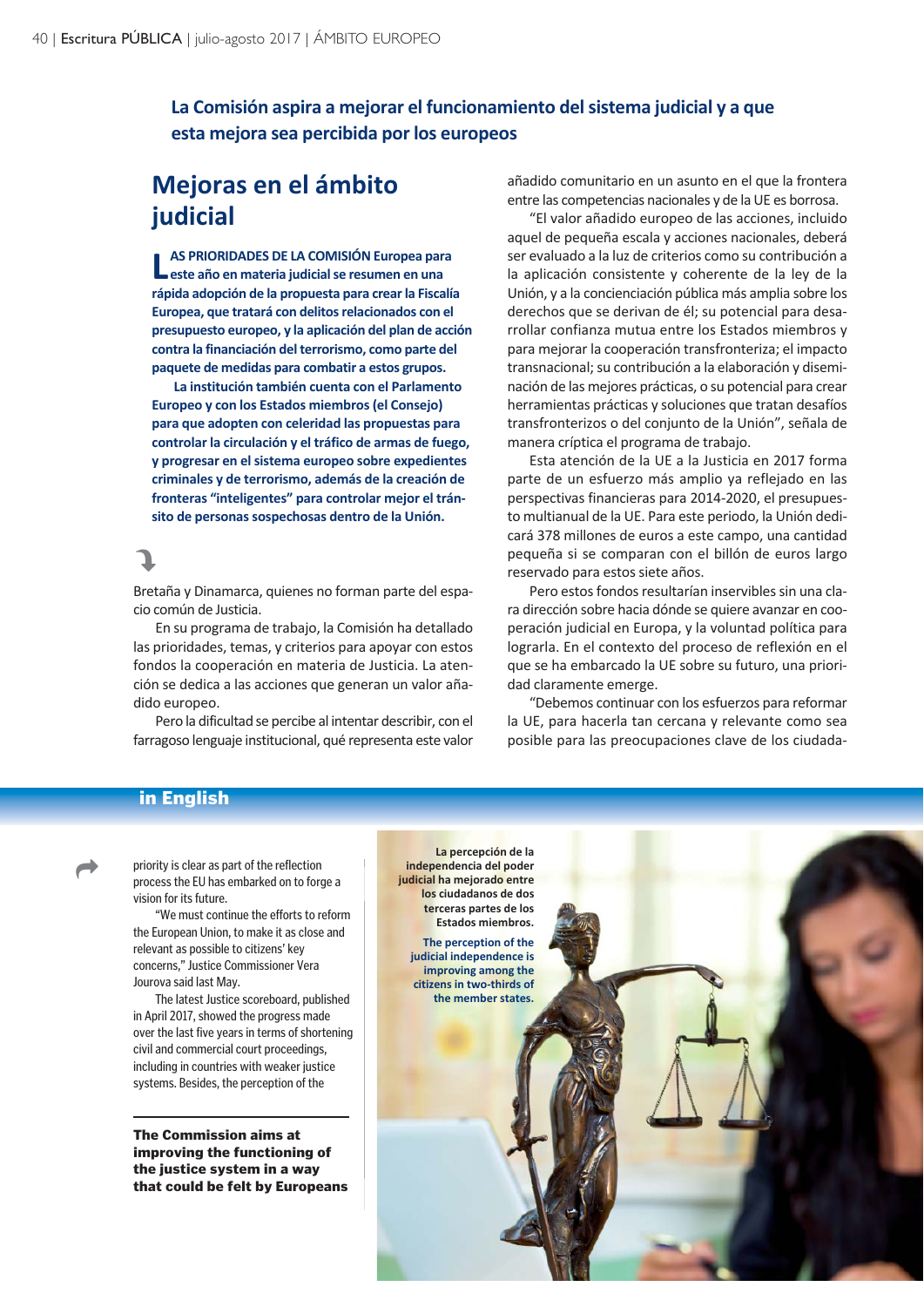## **La Comisión aspira a mejorar el funcionamiento del sistema judicial y a que esta mejora sea percibida por los europeos**

# **Mejoras en el ámbito judicial**

**LAS PRIORIDADES DE LA COMISIÓN Europea para en materia judicial se resumen en una AS PRIORIDADES DE LA COMISIÓN Europea para rápida adopción de la propuesta para crear la Fiscalía Europea, que tratará con delitos relacionados con el presupuesto europeo, y la aplicación del plan de acción contra la financiación del terrorismo, como parte del paquete de medidas para combatir a estos grupos.** 

**La institución también cuenta con el Parlamento Europeo y con los Estados miembros (el Consejo) para que adopten con celeridad las propuestas para controlar la circulación y el tráfico de armas de fuego, y progresar en el sistema europeo sobre expedientes criminales y de terrorismo, además de la creación de fronteras "inteligentes" para controlar mejor el tránsito de personas sospechosas dentro de la Unión.**

# J

Bretaña y Dinamarca, quienes no forman parte del espacio común de Justicia.

En su programa de trabajo, la Comisión ha detallado las prioridades, temas, y criterios para apoyar con estos fondos la cooperación en materia de Justicia. La atención se dedica a las acciones que generan un valor añadido europeo.

Pero la dificultad se percibe al intentar describir, con el farragoso lenguaje institucional, qué representa este valor añadido comunitario en un asunto en el que la frontera entre las competencias nacionales y de la UE es borrosa.

"El valor añadido europeo de las acciones, incluido aquel de pequeña escala y acciones nacionales, deberá ser evaluado a la luz de criterios como su contribución a la aplicación consistente y coherente de la ley de la Unión, y a la concienciación pública más amplia sobre los derechos que se derivan de él; su potencial para desarrollar confianza mutua entre los Estados miembros y para mejorar la cooperación transfronteriza; el impacto transnacional; su contribución a la elaboración y diseminación de las mejores prácticas, o su potencial para crear herramientas prácticas y soluciones que tratan desafíos transfronterizos o del conjunto de la Unión", señala de manera críptica el programa de trabajo.

Esta atención de la UE a la Justicia en 2017 forma parte de un esfuerzo más amplio ya reflejado en las perspectivas financieras para 2014-2020, el presupuesto multianual de la UE. Para este periodo, la Unión dedicará 378 millones de euros a este campo, una cantidad pequeña si se comparan con el billón de euros largo reservado para estos siete años.

Pero estos fondos resultarían inservibles sin una clara dirección sobre hacia dónde se quiere avanzar en cooperación judicial en Europa, y la voluntad política para lograrla. En el contexto del proceso de reflexión en el que se ha embarcado la UE sobre su futuro, una prioridad claramente emerge.

"Debemos continuar con los esfuerzos para reformar la UE, para hacerla tan cercana y relevante como sea posible para las preocupaciones clave de los ciudada-

### in English

 $\overrightarrow{C}$ 

priority is clear as part of the reflection process the EU has embarked on to forge a vision for its future.

"We must continue the efforts to reform the European Union, to make it as close and relevant as possible to citizens' key concerns," Justice Commissioner Vera Jourova said last May.

The latest Justice scoreboard, published in April 2017, showed the progress made over the last five years in terms of shortening civil and commercial court proceedings, including in countries with weaker justice systems. Besides, the perception of the

The Commission aims at improving the functioning of the justice system in a way that could be felt by Europeans

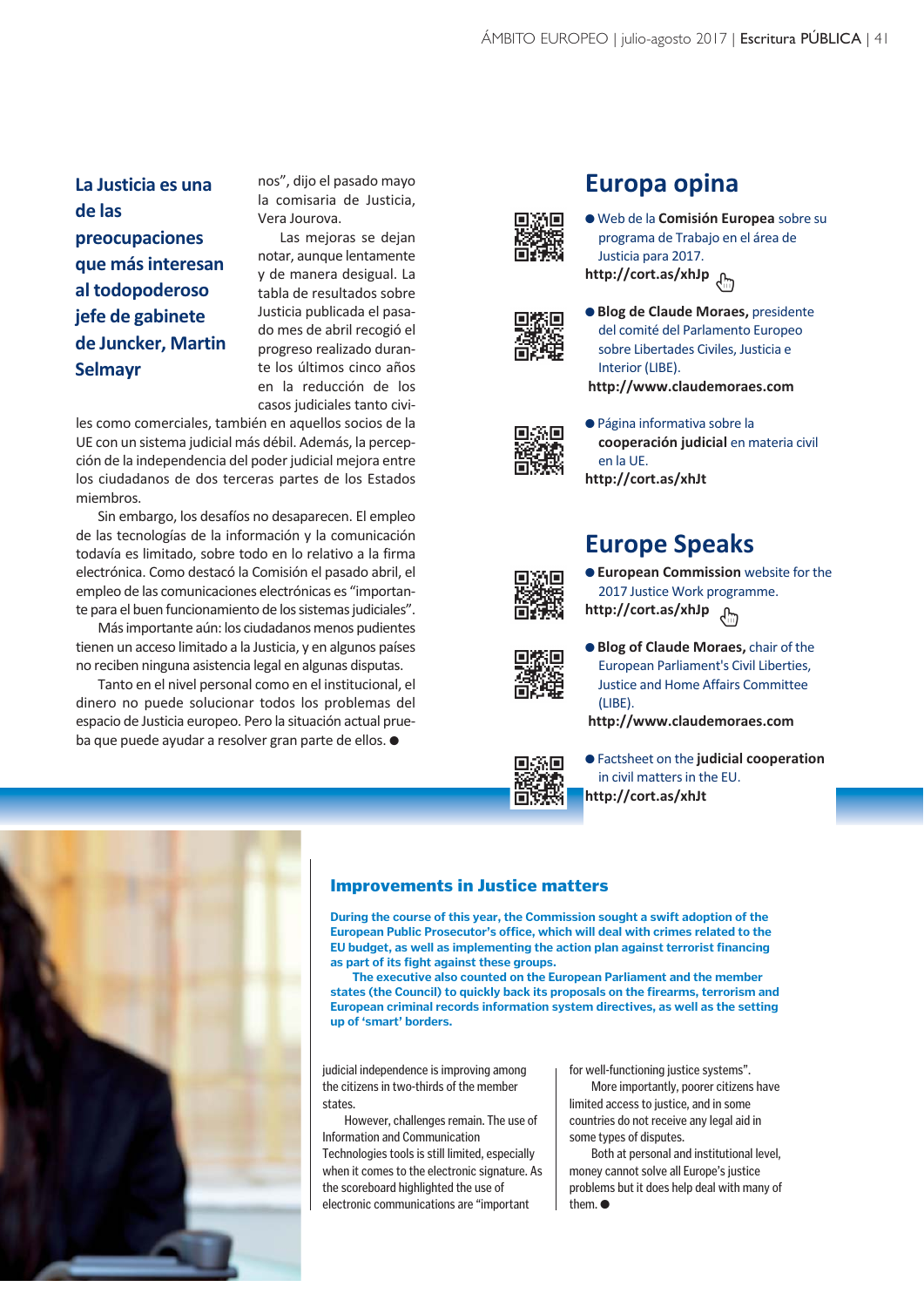# **La Justicia es una de las preocupaciones que más interesan al todopoderoso jefe de gabinete de Juncker, Martin Selmayr**

nos", dijo el pasado mayo la comisaria de Justicia, Vera Jourova.

Las mejoras se dejan notar, aunque lentamente y de manera desigual. La tabla de resultados sobre Justicia publicada el pasado mes de abril recogió el progreso realizado durante los últimos cinco años en la reducción de los casos judiciales tanto civi-

les como comerciales, también en aquellos socios de la UE con un sistema judicial más débil. Además, la percepción de la independencia del poder judicial mejora entre los ciudadanos de dos terceras partes de los Estados miembros.

Sin embargo, los desafíos no desaparecen. El empleo de las tecnologías de la información y la comunicación todavía es limitado, sobre todo en lo relativo a la firma electrónica. Como destacó la Comisión el pasado abril, el empleo de las comunicaciones electrónicas es "importante para el buen funcionamiento de los sistemas judiciales".

Más importante aún: los ciudadanos menos pudientes tienen un acceso limitado a la Justicia, y en algunos países no reciben ninguna asistencia legal en algunas disputas.

Tanto en el nivel personal como en el institucional, el dinero no puede solucionar todos los problemas del espacio de Justicia europeo. Pero la situación actual prueba que puede ayudar a resolver gran parte de ellos.  $\bullet$ 



# **Europa opina**  l Web de la **Comisión Europea** sobre su programa de Trabajo en el área de

Justicia para 2017. **http://cort.as/xhJp**



l **Blog de Claude Moraes,** presidente del comité del Parlamento Europeo sobre Libertades Civiles, Justicia e Interior (LIBE). **http://www.claudemoraes.com**

l Página informativa sobre la **cooperación judicial** en materia civil en la UE. **http://cort.as/xhJt**

# **Europe Speaks**

**European Commission** website for the 2017 Justice Work programme. **http://cort.as/xhJp**



**.** Blog of Claude Moraes, chair of the European Parliament's Civil Liberties, Justice and Home Affairs Committee  $(1$ IRE).

**http://www.claudemoraes.com**

l Factsheet on the **judicial cooperation** in civil matters in the EU. **http://cort.as/xhJt**

#### Improvements in Justice matters

**During the course of this year, the Commission sought a swift adoption of the European Public Prosecutor's office, which will deal with crimes related to the EU budget, as well as implementing the action plan against terrorist financing as part of its fight against these groups.**

**The executive also counted on the European Parliament and the member states (the Council) to quickly back its proposals on the firearms, terrorism and European criminal records information system directives, as well as the setting up of 'smart' borders.**

judicial independence is improving among the citizens in two-thirds of the member states.

However, challenges remain. The use of Information and Communication Technologies tools is still limited, especially when it comes to the electronic signature. As the scoreboard highlighted the use of electronic communications are "important

for well-functioning justice systems".

More importantly, poorer citizens have limited access to justice, and in some countries do not receive any legal aid in some types of disputes.

Both at personal and institutional level, money cannot solve all Europe's justice problems but it does help deal with many of them $\bullet$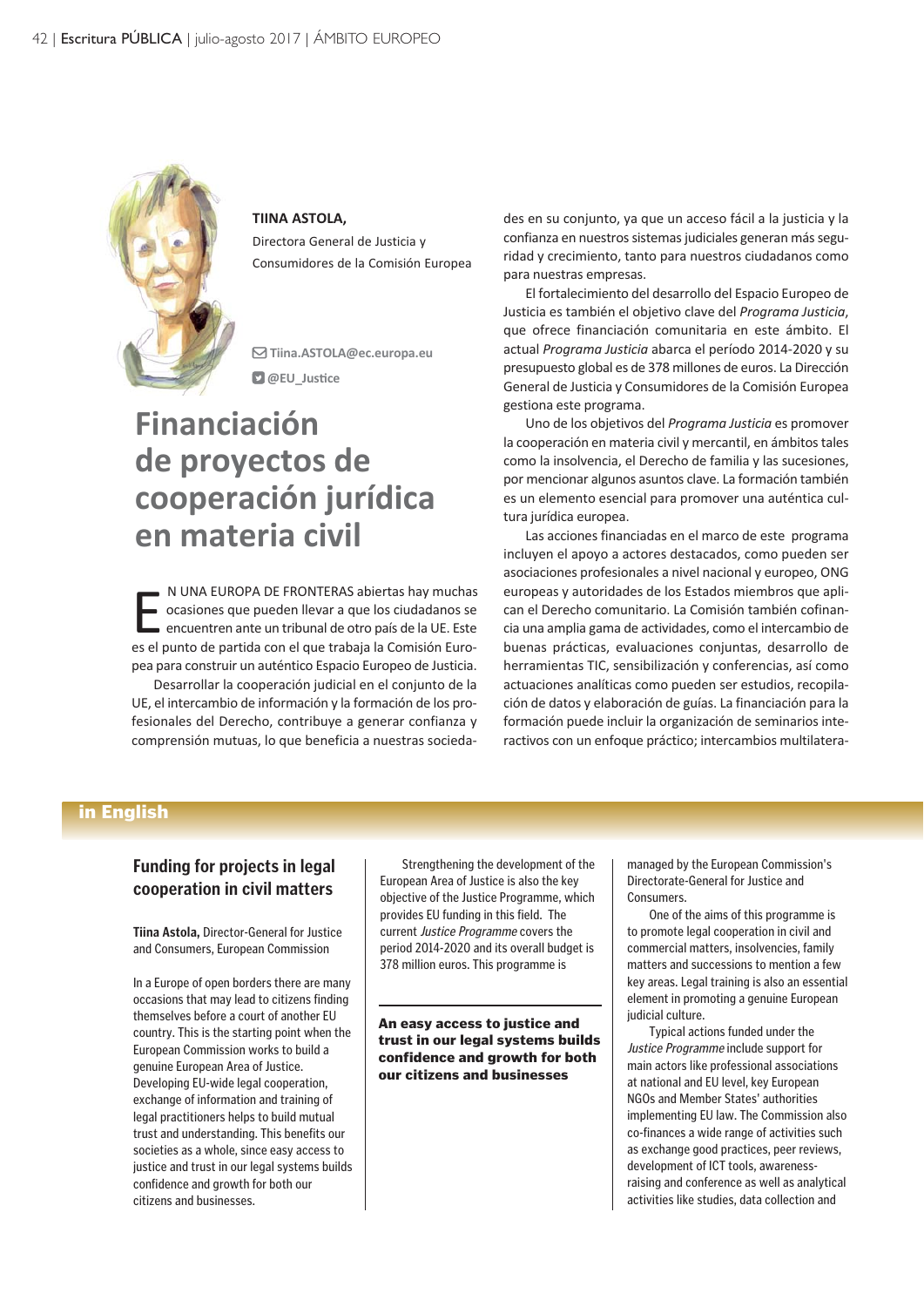

**TIINA ASTOLA,**  Directora General de Justicia y Consumidores de la Comisión Europea

 **Tiina.ASTOLA@ec.europa.eu @EU\_Justice** 

# **Financiación de proyectos de cooperación jurídica en materia civil**

N UNA EUROPA DE FRONTERAS abiertas hay muchas<br>ocasiones que pueden llevar a que los ciudadanos se<br>encuentren ante un tribunal de otro país de la UE. Este<br>es el punto de partida con el que trabaja la Comisión Euro-N UNA EUROPA DE FRONTERAS abiertas hay muchas ocasiones que pueden llevar a que los ciudadanos se encuentren ante un tribunal de otro país de la UE. Este pea para construir un auténtico Espacio Europeo de Justicia.

Desarrollar la cooperación judicial en el conjunto de la UE, el intercambio de información y la formación de los profesionales del Derecho, contribuye a generar confianza y comprensión mutuas, lo que beneficia a nuestras sociedades en su conjunto, ya que un acceso fácil a la justicia y la confianza en nuestros sistemas judiciales generan más seguridad y crecimiento, tanto para nuestros ciudadanos como para nuestras empresas.

El fortalecimiento del desarrollo del Espacio Europeo de Justicia es también el objetivo clave del *Programa Justicia*, que ofrece financiación comunitaria en este ámbito. El actual *Programa Justicia* abarca el período 2014-2020 y su presupuesto global es de 378 millones de euros. La Dirección General de Justicia y Consumidores de la Comisión Europea gestiona este programa.

Uno de los objetivos del *Programa Justicia* es promover la cooperación en materia civil y mercantil, en ámbitos tales como la insolvencia, el Derecho de familia y las sucesiones, por mencionar algunos asuntos clave. La formación también es un elemento esencial para promover una auténtica cultura jurídica europea.

Las acciones financiadas en el marco de este programa incluyen el apoyo a actores destacados, como pueden ser asociaciones profesionales a nivel nacional y europeo, ONG europeas y autoridades de los Estados miembros que aplican el Derecho comunitario. La Comisión también cofinancia una amplia gama de actividades, como el intercambio de buenas prácticas, evaluaciones conjuntas, desarrollo de herramientas TIC, sensibilización y conferencias, así como actuaciones analíticas como pueden ser estudios, recopilación de datos y elaboración de guías. La financiación para la formación puede incluir la organización de seminarios interactivos con un enfoque práctico; intercambios multilatera-

#### in English

#### **Funding for projects in legal cooperation in civil matters**

**Tiina Astola,** Director-General for Justice and Consumers, European Commission

In a Europe of open borders there are many occasions that may lead to citizens finding themselves before a court of another EU country. This is the starting point when the European Commission works to build a genuine European Area of Justice. Developing EU-wide legal cooperation, exchange of information and training of legal practitioners helps to build mutual trust and understanding. This benefits our societies as a whole, since easy access to justice and trust in our legal systems builds confidence and growth for both our citizens and businesses.

Strengthening the development of the European Area of Justice is also the key objective of the Justice Programme, which provides EU funding in this field. The current Justice Programme covers the period 2014-2020 and its overall budget is 378 million euros. This programme is

An easy access to justice and trust in our legal systems builds confidence and growth for both our citizens and businesses

managed by the European Commission's Directorate-General for Justice and **Consumers** 

One of the aims of this programme is to promote legal cooperation in civil and commercial matters, insolvencies, family matters and successions to mention a few key areas. Legal training is also an essential element in promoting a genuine European judicial culture.

Typical actions funded under the Justice Programme include support for main actors like professional associations at national and EU level, key European NGOs and Member States' authorities implementing EU law. The Commission also co-finances a wide range of activities such as exchange good practices, peer reviews, development of ICT tools, awarenessraising and conference as well as analytical activities like studies, data collection and